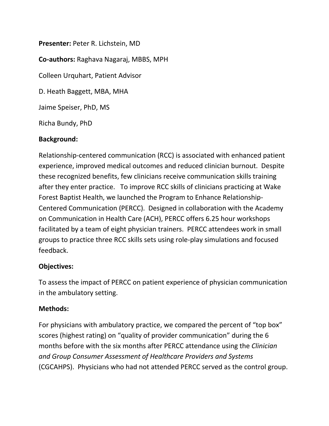**Presenter:** Peter R. Lichstein, MD **Co-authors:** Raghava Nagaraj, MBBS, MPH Colleen Urquhart, Patient Advisor D. Heath Baggett, MBA, MHA Jaime Speiser, PhD, MS Richa Bundy, PhD

### **Background:**

Relationship-centered communication (RCC) is associated with enhanced patient experience, improved medical outcomes and reduced clinician burnout. Despite these recognized benefits, few clinicians receive communication skills training after they enter practice. To improve RCC skills of clinicians practicing at Wake Forest Baptist Health, we launched the Program to Enhance Relationship-Centered Communication (PERCC). Designed in collaboration with the Academy on Communication in Health Care (ACH), PERCC offers 6.25 hour workshops facilitated by a team of eight physician trainers. PERCC attendees work in small groups to practice three RCC skills sets using role-play simulations and focused feedback.

#### **Objectives:**

To assess the impact of PERCC on patient experience of physician communication in the ambulatory setting.

#### **Methods:**

For physicians with ambulatory practice, we compared the percent of "top box" scores (highest rating) on "quality of provider communication" during the 6 months before with the six months after PERCC attendance using the *Clinician and Group Consumer Assessment of Healthcare Providers and Systems* (CGCAHPS). Physicians who had not attended PERCC served as the control group.